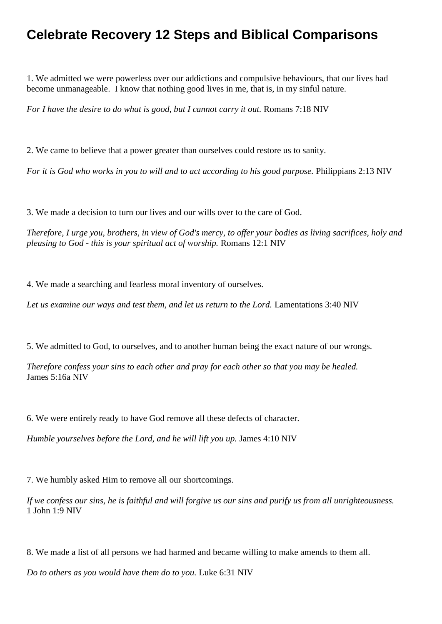## **Celebrate Recovery 12 Steps and Biblical Comparisons**

1. We admitted we were powerless over our addictions and compulsive behaviours, that our lives had become unmanageable. I know that nothing good lives in me, that is, in my sinful nature.

*For I have the desire to do what is good, but I cannot carry it out.* Romans 7:18 NIV

2. We came to believe that a power greater than ourselves could restore us to sanity.

*For it is God who works in you to will and to act according to his good purpose.* Philippians 2:13 NIV

3. We made a decision to turn our lives and our wills over to the care of God.

*Therefore, I urge you, brothers, in view of God's mercy, to offer your bodies as living sacrifices, holy and pleasing to God - this is your spiritual act of worship.* Romans 12:1 NIV

4. We made a searching and fearless moral inventory of ourselves.

*Let us examine our ways and test them, and let us return to the Lord.* Lamentations 3:40 NIV

5. We admitted to God, to ourselves, and to another human being the exact nature of our wrongs.

*Therefore confess your sins to each other and pray for each other so that you may be healed.* James 5:16a NIV

6. We were entirely ready to have God remove all these defects of character.

*Humble yourselves before the Lord, and he will lift you up.* James 4:10 NIV

7. We humbly asked Him to remove all our shortcomings.

*If we confess our sins, he is faithful and will forgive us our sins and purify us from all unrighteousness.* 1 John 1:9 NIV

8. We made a list of all persons we had harmed and became willing to make amends to them all.

*Do to others as you would have them do to you.* Luke 6:31 NIV